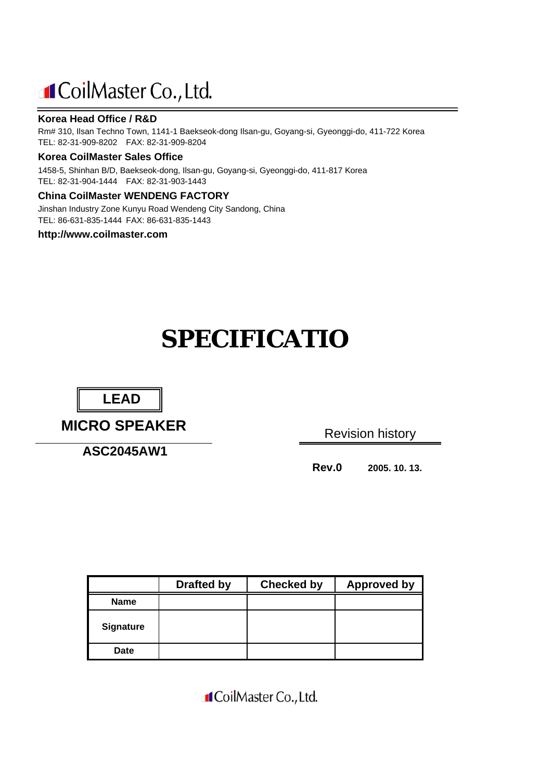## **I**CoilMaster Co., Ltd.

#### **Korea Head Office / R&D**

Rm# 310, Ilsan Techno Town, 1141-1 Baekseok-dong Ilsan-gu, Goyang-si, Gyeonggi-do, 411-722 Korea TEL: 82-31-909-8202 FAX: 82-31-909-8204

#### **Korea CoilMaster Sales Office**

1458-5, Shinhan B/D, Baekseok-dong, Ilsan-gu, Goyang-si, Gyeonggi-do, 411-817 Korea TEL: 82-31-904-1444 FAX: 82-31-903-1443

#### **China CoilMaster WENDENG FACTORY**

Jinshan Industry Zone Kunyu Road Wendeng City Sandong, China TEL: 86-631-835-1444 FAX: 86-631-835-1443

#### **http://www.coilmaster.com**

# **SPECIFICATIO**



**MICRO SPEAKER**

**ASC2045AW1**

Revision history

**Rev.0 2005. 10. 13.**

|                  | <b>Drafted by</b> | <b>Checked by</b> | <b>Approved by</b> |
|------------------|-------------------|-------------------|--------------------|
| <b>Name</b>      |                   |                   |                    |
| <b>Signature</b> |                   |                   |                    |
| <b>Date</b>      |                   |                   |                    |

**I**CoilMaster Co., Ltd.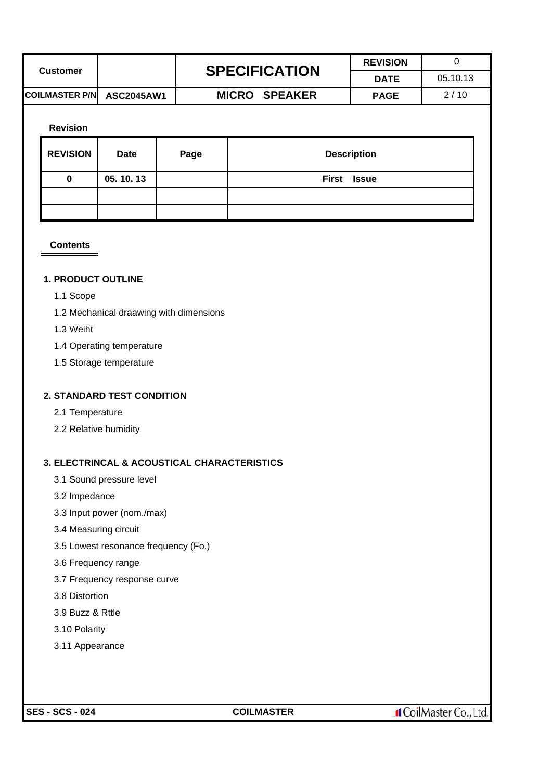| <b>Customer</b>           | <b>SPECIFICATION</b> | <b>REVISION</b> |          |
|---------------------------|----------------------|-----------------|----------|
|                           |                      | <b>DATE</b>     | 05.10.13 |
| COILMASTER P/N ASC2045AW1 | <b>MICRO SPEAKER</b> | <b>PAGE</b>     | 2/10     |
|                           |                      |                 |          |

#### **Revision**

| <b>REVISION</b> | <b>Date</b> | Page | <b>Description</b> |
|-----------------|-------------|------|--------------------|
| 0               | 05.10.13    |      | First Issue        |
|                 |             |      |                    |
|                 |             |      |                    |

#### **Contents**

#### **1. PRODUCT OUTLINE**

- 1.1 Scope
- 1.2 Mechanical draawing with dimensions
- 1.3 Weiht
- 1.4 Operating temperature
- 1.5 Storage temperature

#### **2. STANDARD TEST CONDITION**

- 2.1 Temperature
- 2.2 Relative humidity

#### **3. ELECTRINCAL & ACOUSTICAL CHARACTERISTICS**

- 3.1 Sound pressure level
- 3.2 Impedance
- 3.3 Input power (nom./max)
- 3.4 Measuring circuit
- 3.5 Lowest resonance frequency (Fo.)
- 3.6 Frequency range
- 3.7 Frequency response curve
- 3.8 Distortion
- 3.9 Buzz & Rttle
- 3.10 Polarity
- 3.11 Appearance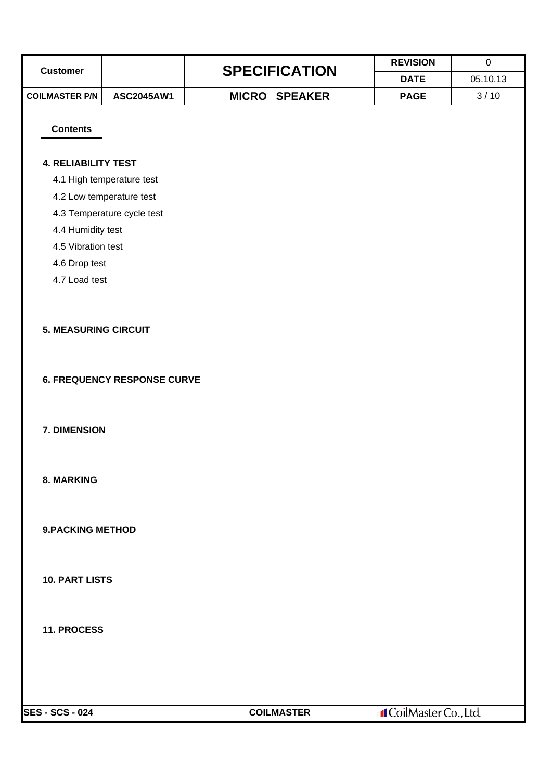|                             |                                    |  |                      | <b>REVISION</b> | $\pmb{0}$ |  |  |
|-----------------------------|------------------------------------|--|----------------------|-----------------|-----------|--|--|
| <b>Customer</b>             |                                    |  | <b>SPECIFICATION</b> |                 | 05.10.13  |  |  |
| <b>COILMASTER P/N</b>       | ASC2045AW1                         |  | <b>MICRO SPEAKER</b> | <b>PAGE</b>     | 3/10      |  |  |
|                             |                                    |  |                      |                 |           |  |  |
| <b>Contents</b>             |                                    |  |                      |                 |           |  |  |
|                             |                                    |  |                      |                 |           |  |  |
| <b>4. RELIABILITY TEST</b>  |                                    |  |                      |                 |           |  |  |
|                             | 4.1 High temperature test          |  |                      |                 |           |  |  |
|                             | 4.2 Low temperature test           |  |                      |                 |           |  |  |
|                             | 4.3 Temperature cycle test         |  |                      |                 |           |  |  |
| 4.4 Humidity test           |                                    |  |                      |                 |           |  |  |
| 4.5 Vibration test          |                                    |  |                      |                 |           |  |  |
| 4.6 Drop test               |                                    |  |                      |                 |           |  |  |
| 4.7 Load test               |                                    |  |                      |                 |           |  |  |
|                             |                                    |  |                      |                 |           |  |  |
| <b>5. MEASURING CIRCUIT</b> |                                    |  |                      |                 |           |  |  |
|                             |                                    |  |                      |                 |           |  |  |
|                             |                                    |  |                      |                 |           |  |  |
|                             | <b>6. FREQUENCY RESPONSE CURVE</b> |  |                      |                 |           |  |  |
|                             |                                    |  |                      |                 |           |  |  |
|                             |                                    |  |                      |                 |           |  |  |
| 7. DIMENSION                |                                    |  |                      |                 |           |  |  |
|                             |                                    |  |                      |                 |           |  |  |
|                             |                                    |  |                      |                 |           |  |  |
| <b>8. MARKING</b>           |                                    |  |                      |                 |           |  |  |
|                             |                                    |  |                      |                 |           |  |  |
|                             |                                    |  |                      |                 |           |  |  |
| <b>9.PACKING METHOD</b>     |                                    |  |                      |                 |           |  |  |
|                             |                                    |  |                      |                 |           |  |  |
|                             |                                    |  |                      |                 |           |  |  |
| <b>10. PART LISTS</b>       |                                    |  |                      |                 |           |  |  |
|                             |                                    |  |                      |                 |           |  |  |
|                             |                                    |  |                      |                 |           |  |  |
| 11. PROCESS                 |                                    |  |                      |                 |           |  |  |
|                             |                                    |  |                      |                 |           |  |  |
|                             |                                    |  |                      |                 |           |  |  |
|                             |                                    |  |                      |                 |           |  |  |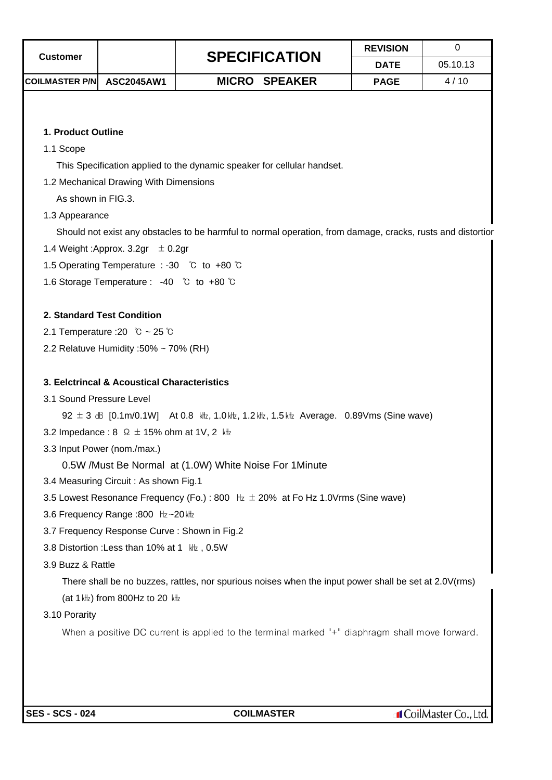| Customer              |                   | <b>SPECIFICATION</b> | <b>REVISION</b> |          |
|-----------------------|-------------------|----------------------|-----------------|----------|
|                       |                   |                      | <b>DATE</b>     | 05.10.13 |
| <b>COILMASTER P/N</b> | <b>ASC2045AW1</b> | <b>MICRO SPEAKER</b> | <b>PAGE</b>     | 4/10     |

#### **1. Product Outline**

1.1 Scope

This Specification applied to the dynamic speaker for cellular handset.

1.2 Mechanical Drawing With Dimensions

As shown in FIG.3.

1.3 Appearance

Should not exist any obstacles to be harmful to normal operation, from damage, cracks, rusts and distortion

- 1.4 Weight : Approx.  $3.2$ gr  $\pm 0.2$ gr
- 1.5 Operating Temperature : -30 ℃ to +80 ℃
- 1.6 Storage Temperature : -40 ℃ to +80 ℃

#### **2. Standard Test Condition**

- 2.1 Temperature :20 ℃ ~ 25℃
- 2.2 Relatuve Humidity :50% ~ 70% (RH)

#### **3. Eelctrincal & Acoustical Characteristics**

3.1 Sound Pressure Level

92 ± 3 dB [0.1m/0.1W] At 0.8 kHz, 1.0 kHz, 1.2 kHz, 1.5 kHz Average. 0.89Vms (Sine wave)

- 3.2 Impedance :  $8 \Omega \pm 15\%$  ohm at 1V, 2  $\frac{1}{12}$
- 3.3 Input Power (nom./max.)

0.5W /Must Be Normal at (1.0W) White Noise For 1Minute

- 3.4 Measuring Circuit : As shown Fig.1
- 3.5 Lowest Resonance Frequency (Fo.) : 800  $\;$  Hz  $\;$   $\pm$  20% at Fo Hz 1.0Vrms (Sine wave)
- 3.6 Frequency Range :800 Hz~20 kHz
- 3.7 Frequency Response Curve : Shown in Fig.2
- 3.8 Distortion : Less than 10% at 1  $kHz$ , 0.5W
- 3.9 Buzz & Rattle

There shall be no buzzes, rattles, nor spurious noises when the input power shall be set at 2.0V(rms) (at 1 kHz) from 800Hz to 20 kHz

3.10 Porarity

When a positive DC current is applied to the terminal marked "+" diaphragm shall move forward.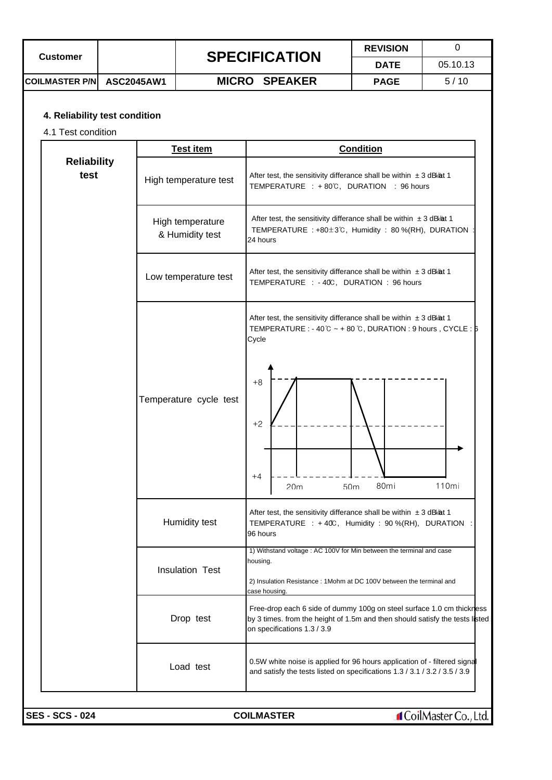| <b>Customer</b>           | <b>SPECIFICATION</b> | <b>REVISION</b> |          |
|---------------------------|----------------------|-----------------|----------|
|                           |                      | <b>DATE</b>     | 05.10.13 |
| COILMASTER P/N ASC2045AW1 | <b>MICRO SPEAKER</b> | <b>PAGE</b>     | 5/10     |

### **4. Reliability test condition**

4.1 Test condition

|                            | <b>Test item</b>                    | <b>Condition</b>                                                                                                                                                                                                                     |  |  |  |  |
|----------------------------|-------------------------------------|--------------------------------------------------------------------------------------------------------------------------------------------------------------------------------------------------------------------------------------|--|--|--|--|
| <b>Reliability</b><br>test | High temperature test               | After test, the sensitivity differance shall be within $\pm 3$ dB at 1<br>TEMPERATURE : +80°C, DURATION : 96 hours                                                                                                                   |  |  |  |  |
|                            | High temperature<br>& Humidity test | After test, the sensitivity differance shall be within $\pm 3$ dB at 1<br>TEMPERATURE : +80 $\pm$ 3°C, Humidity : 80 %(RH), DURATION<br>24 hours                                                                                     |  |  |  |  |
|                            | Low temperature test                | After test, the sensitivity differance shall be within $\pm 3$ dBkat 1<br>TEMPERATURE : - 40C, DURATION : 96 hours                                                                                                                   |  |  |  |  |
|                            | Temperature cycle test              | After test, the sensitivity differance shall be within $\pm 3$ dBkat 1<br>TEMPERATURE : - 40 $\degree$ ~ + 80 $\degree$ C, DURATION : 9 hours, CYCLE : $\frac{1}{5}$<br>Cycle<br>$+8$<br>$+2$<br>$+4$<br>80mi<br>110mi<br>20m<br>50m |  |  |  |  |
|                            | Humidity test                       | After test, the sensitivity differance shall be within $\pm 3$ dBkat 1<br>TEMPERATURE : +40C, Humidity : 90 %(RH), DURATION<br>96 hours                                                                                              |  |  |  |  |
|                            | <b>Insulation Test</b>              | 1) Withstand voltage : AC 100V for Min between the terminal and case<br>housing.<br>2) Insulation Resistance: 1Mohm at DC 100V between the terminal and<br>case housing.                                                             |  |  |  |  |
|                            | Drop test                           | Free-drop each 6 side of dummy 100g on steel surface 1.0 cm thickness<br>by 3 times. from the height of 1.5m and then should satisfy the tests listed<br>on specifications 1.3 / 3.9                                                 |  |  |  |  |
|                            | Load test                           | 0.5W white noise is applied for 96 hours application of - filtered signal<br>and satisfy the tests listed on specifications 1.3 / 3.1 / 3.2 / 3.5 / 3.9                                                                              |  |  |  |  |
| <b>SES - SCS - 024</b>     |                                     | <b>f</b> CoilMaster Co., Ltd.<br><b>COILMASTER</b>                                                                                                                                                                                   |  |  |  |  |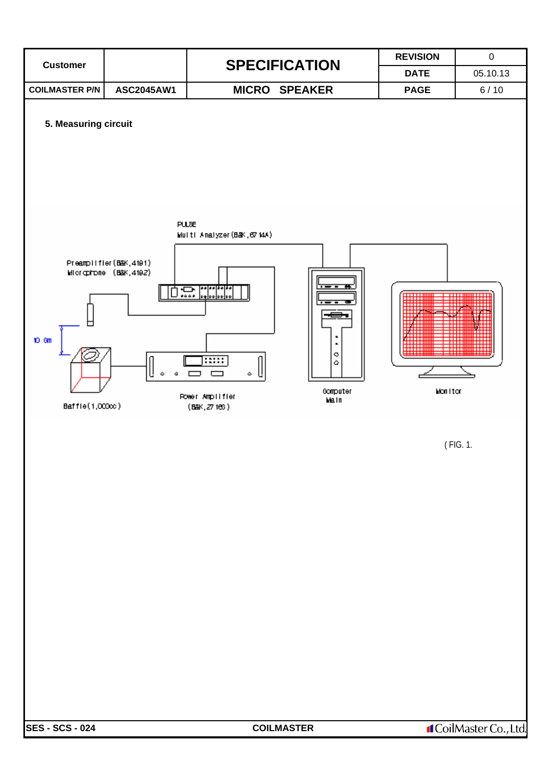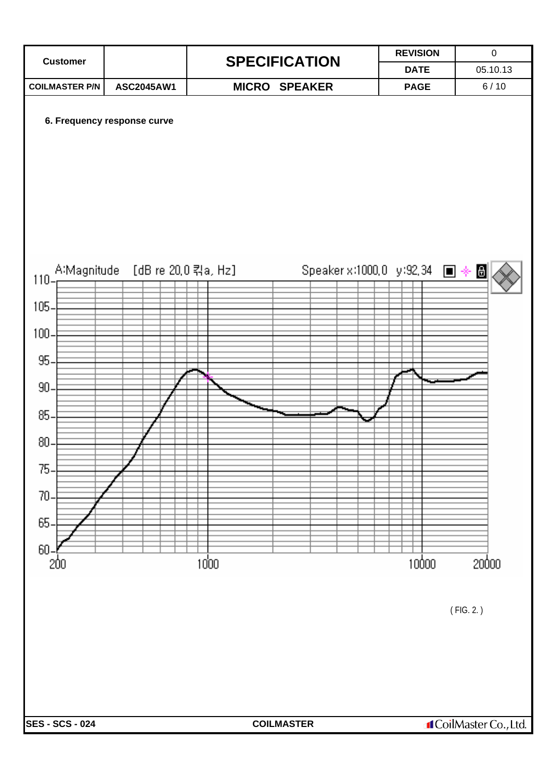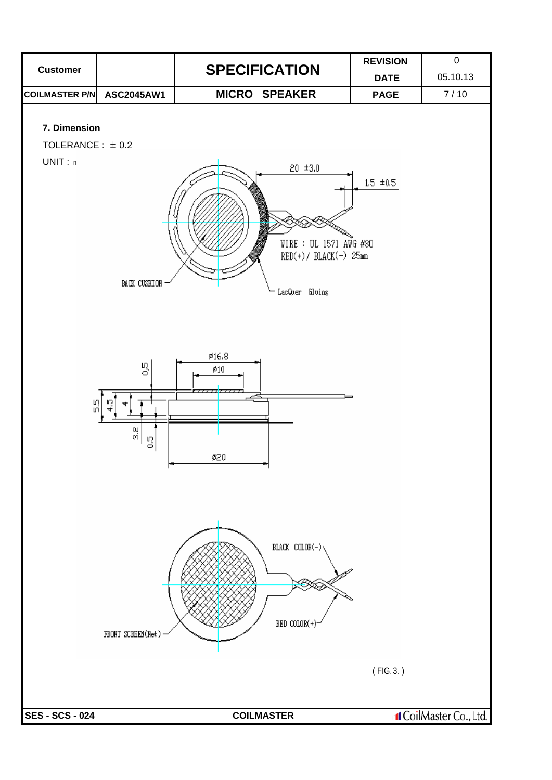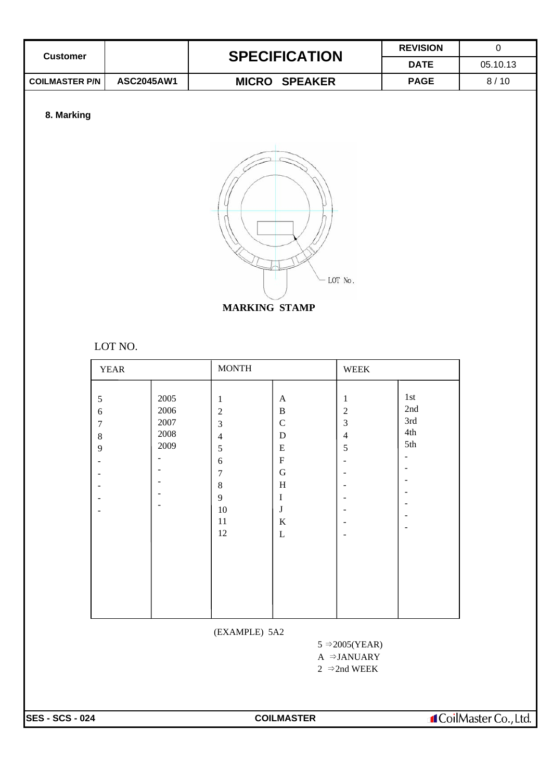|                                                              |                                      |                                                                                                                                         |                                                                                                                                                                     |                                                                     | <b>REVISION</b>                       | $\mathbf 0$ |
|--------------------------------------------------------------|--------------------------------------|-----------------------------------------------------------------------------------------------------------------------------------------|---------------------------------------------------------------------------------------------------------------------------------------------------------------------|---------------------------------------------------------------------|---------------------------------------|-------------|
| <b>Customer</b>                                              |                                      | <b>SPECIFICATION</b>                                                                                                                    |                                                                                                                                                                     |                                                                     | <b>DATE</b>                           | 05.10.13    |
| <b>COILMASTER P/N</b>                                        | ASC2045AW1                           |                                                                                                                                         | <b>MICRO SPEAKER</b>                                                                                                                                                |                                                                     | <b>PAGE</b>                           | 8/10        |
| 8. Marking                                                   |                                      |                                                                                                                                         |                                                                                                                                                                     |                                                                     |                                       |             |
|                                                              | LOT NO.                              | <b>MARKING STAMP</b>                                                                                                                    |                                                                                                                                                                     | LOT No.                                                             |                                       |             |
|                                                              | <b>YEAR</b>                          | <b>MONTH</b>                                                                                                                            |                                                                                                                                                                     | WEEK                                                                |                                       |             |
| $\sqrt{5}$<br>$\sqrt{6}$<br>$\boldsymbol{7}$<br>$\,8\,$<br>9 | 2005<br>2006<br>2007<br>2008<br>2009 | $\mathbf{1}$<br>$\boldsymbol{2}$<br>3<br>4<br>$\sqrt{5}$<br>$\sqrt{6}$<br>$\tau$<br>$\,8\,$<br>$\overline{9}$<br>$10\,$<br>$11\,$<br>12 | $\mathbf{A}$<br>$\, {\bf B}$<br>$\mathsf C$<br>${\bf D}$<br>${\bf E}$<br>${\bf F}$<br>${\bf G}$<br>$\, {\rm H}$<br>$\mathbf I$<br>$\bf J$<br>$\rm K$<br>$\mathbf L$ | $\mathbf{1}$<br>$\sqrt{2}$<br>$\mathfrak{Z}$<br>$\overline{4}$<br>5 | $1st$<br>2nd<br>3rd<br>$4th\,$<br>5th |             |

(EXAMPLE) 5A2

 $5 \Rightarrow 2005(YEAR)$  $A \Rightarrow$  JANUARY 2 ⇒2nd WEEK

**SES - SCS - 024 COILMASTER** 

**I**CoilMaster Co., Ltd.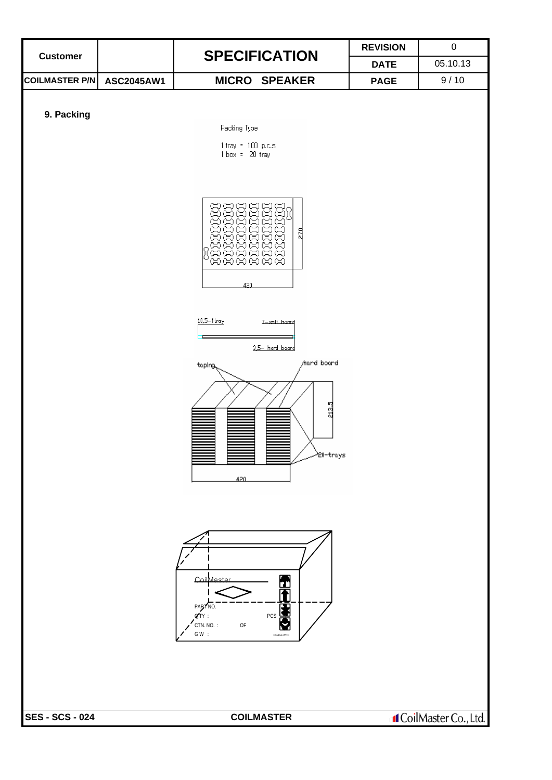